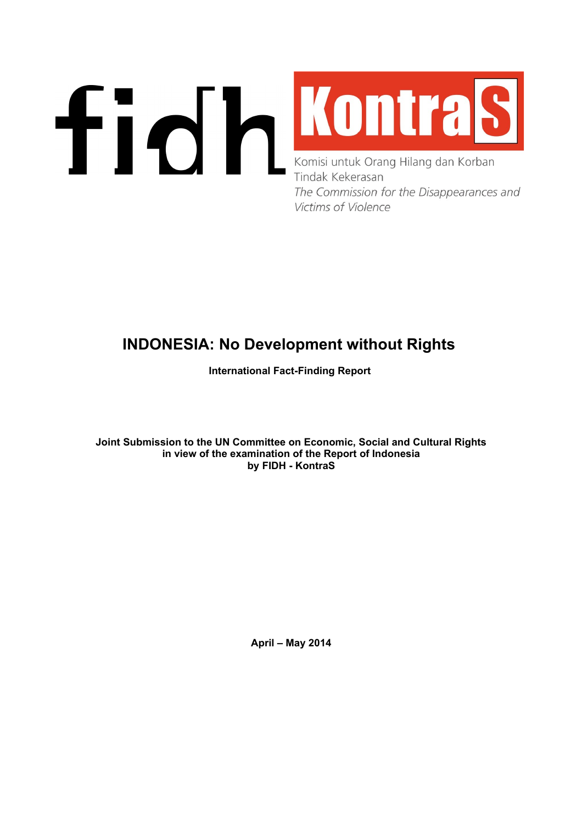# **FIQ MONTAS** Tindak Kekerasan The Commission for the Disappearances and **Victims of Violence**

# **INDONESIA: No Development without Rights**

**International Fact-Finding Report** 

**Joint Submission to the UN Committee on Economic, Social and Cultural Rights in view of the examination of the Report of Indonesia by FIDH - KontraS**

**April – May 2014**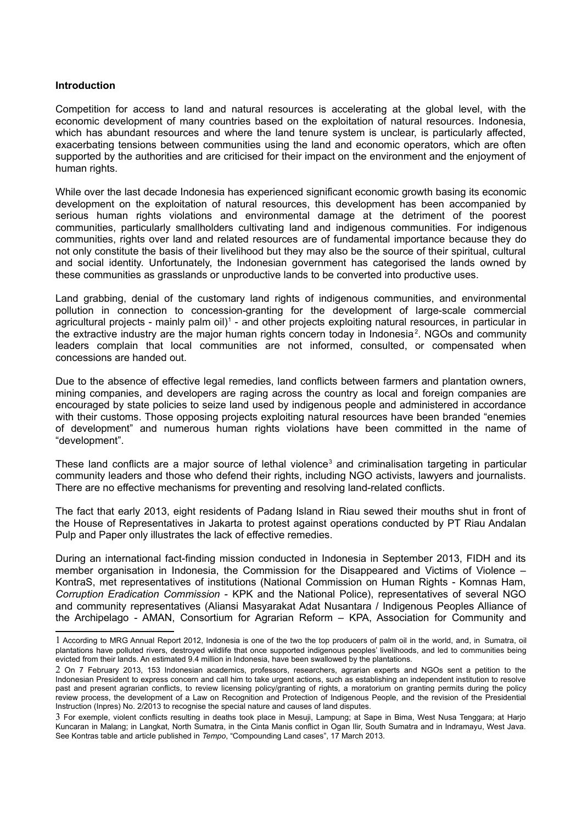#### **Introduction**

Competition for access to land and natural resources is accelerating at the global level, with the economic development of many countries based on the exploitation of natural resources. Indonesia, which has abundant resources and where the land tenure system is unclear, is particularly affected, exacerbating tensions between communities using the land and economic operators, which are often supported by the authorities and are criticised for their impact on the environment and the enjoyment of human rights.

While over the last decade Indonesia has experienced significant economic growth basing its economic development on the exploitation of natural resources, this development has been accompanied by serious human rights violations and environmental damage at the detriment of the poorest communities, particularly smallholders cultivating land and indigenous communities. For indigenous communities, rights over land and related resources are of fundamental importance because they do not only constitute the basis of their livelihood but they may also be the source of their spiritual, cultural and social identity. Unfortunately, the Indonesian government has categorised the lands owned by these communities as grasslands or unproductive lands to be converted into productive uses.

Land grabbing, denial of the customary land rights of indigenous communities, and environmental pollution in connection to concession-granting for the development of large-scale commercial agricultural projects - mainly palm oil)<sup>[1](#page-1-0)</sup> - and other projects exploiting natural resources, in particular in the extractive industry are the major human rights concern today in Indonesia<sup>[2](#page-1-1)</sup>. NGOs and community leaders complain that local communities are not informed, consulted, or compensated when concessions are handed out.

Due to the absence of effective legal remedies, land conflicts between farmers and plantation owners, mining companies, and developers are raging across the country as local and foreign companies are encouraged by state policies to seize land used by indigenous people and administered in accordance with their customs. Those opposing projects exploiting natural resources have been branded "enemies of development" and numerous human rights violations have been committed in the name of "development".

These land conflicts are a major source of lethal violence<sup>[3](#page-1-2)</sup> and criminalisation targeting in particular community leaders and those who defend their rights, including NGO activists, lawyers and journalists. There are no effective mechanisms for preventing and resolving land-related conflicts.

The fact that early 2013, eight residents of Padang Island in Riau sewed their mouths shut in front of the House of Representatives in Jakarta to protest against operations conducted by PT Riau Andalan Pulp and Paper only illustrates the lack of effective remedies.

During an international fact-finding mission conducted in Indonesia in September 2013, FIDH and its member organisation in Indonesia, the Commission for the Disappeared and Victims of Violence – KontraS, met representatives of institutions (National Commission on Human Rights - Komnas Ham, *Corruption Eradication Commission -* KPK and the National Police), representatives of several NGO and community representatives (Aliansi Masyarakat Adat Nusantara / Indigenous Peoples Alliance of the Archipelago - AMAN, Consortium for Agrarian Reform – KPA, Association for Community and

<span id="page-1-0"></span><sup>1</sup> According to MRG Annual Report 2012, Indonesia is one of the two the top producers of palm oil in the world, and, in Sumatra, oil plantations have polluted rivers, destroyed wildlife that once supported indigenous peoples' livelihoods, and led to communities being evicted from their lands. An estimated 9.4 million in Indonesia, have been swallowed by the plantations.

<span id="page-1-1"></span><sup>2</sup> On 7 February 2013, 153 Indonesian academics, professors, researchers, agrarian experts and NGOs sent a petition to the Indonesian President to express concern and call him to take urgent actions, such as establishing an independent institution to resolve past and present agrarian conflicts, to review licensing policy/granting of rights, a moratorium on granting permits during the policy review process, the development of a Law on Recognition and Protection of Indigenous People, and the revision of the Presidential Instruction (Inpres) No. 2/2013 to recognise the special nature and causes of land disputes.

<span id="page-1-2"></span><sup>3</sup> For exemple, violent conflicts resulting in deaths took place in Mesuji, Lampung; at Sape in Bima, West Nusa Tenggara; at Harjo Kuncaran in Malang; in Langkat, North Sumatra, in the Cinta Manis conflict in Ogan Ilir, South Sumatra and in Indramayu, West Java. See Kontras table and article published in *Tempo*, "Compounding Land cases", 17 March 2013.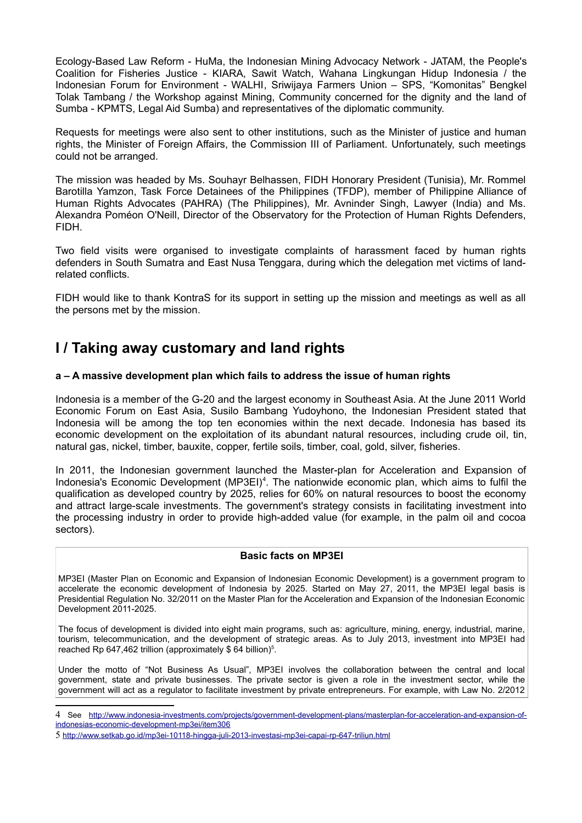Ecology-Based Law Reform - HuMa, the Indonesian Mining Advocacy Network - JATAM, the People's Coalition for Fisheries Justice - KIARA, Sawit Watch, Wahana Lingkungan Hidup Indonesia / the Indonesian Forum for Environment - WALHI, Sriwijaya Farmers Union – SPS, "Komonitas" Bengkel Tolak Tambang / the Workshop against Mining, Community concerned for the dignity and the land of Sumba - KPMTS, Legal Aid Sumba) and representatives of the diplomatic community.

Requests for meetings were also sent to other institutions, such as the Minister of justice and human rights, the Minister of Foreign Affairs, the Commission III of Parliament. Unfortunately, such meetings could not be arranged.

The mission was headed by Ms. Souhayr Belhassen, FIDH Honorary President (Tunisia), Mr. Rommel Barotilla Yamzon, Task Force Detainees of the Philippines (TFDP), member of Philippine Alliance of Human Rights Advocates (PAHRA) (The Philippines), Mr. Avninder Singh, Lawyer (India) and Ms. Alexandra Poméon O'Neill, Director of the Observatory for the Protection of Human Rights Defenders, FIDH.

Two field visits were organised to investigate complaints of harassment faced by human rights defenders in South Sumatra and East Nusa Tenggara, during which the delegation met victims of landrelated conflicts.

FIDH would like to thank KontraS for its support in setting up the mission and meetings as well as all the persons met by the mission.

# **I / Taking away customary and land rights**

# **a – A massive development plan which fails to address the issue of human rights**

Indonesia is a member of the G-20 and the largest economy in Southeast Asia. At the June 2011 World Economic Forum on East Asia, Susilo Bambang Yudoyhono, the Indonesian President stated that Indonesia will be among the top ten economies within the next decade. Indonesia has based its economic development on the exploitation of its abundant natural resources, including crude oil, tin, natural gas, nickel, timber, bauxite, copper, fertile soils, timber, coal, gold, silver, fisheries.

In 2011, the Indonesian government launched the Master-plan for Acceleration and Expansion of Indonesia's Economic Development (MP3EI)<sup>[4](#page-2-0)</sup>. The nationwide economic plan, which aims to fulfil the qualification as developed country by 2025, relies for 60% on natural resources to boost the economy and attract large-scale investments. The government's strategy consists in facilitating investment into the processing industry in order to provide high-added value (for example, in the palm oil and cocoa sectors).

# **Basic facts on MP3EI**

MP3EI (Master Plan on Economic and Expansion of Indonesian Economic Development) is a government program to accelerate the economic development of Indonesia by 2025. Started on May 27, 2011, the MP3EI legal basis is Presidential Regulation No. 32/2011 on the Master Plan for the Acceleration and Expansion of the Indonesian Economic Development 2011-2025.

The focus of development is divided into eight main programs, such as: agriculture, mining, energy, industrial, marine, tourism, telecommunication, and the development of strategic areas. As to July 2013, investment into MP3EI had reached Rp 647,462 trillion (approximately  $$64$  billion)<sup>[5](#page-2-1)</sup>.

Under the motto of "Not Business As Usual", MP3EI involves the collaboration between the central and local government, state and private businesses. The private sector is given a role in the investment sector, while the government will act as a regulator to facilitate investment by private entrepreneurs. For example, with Law No. 2/2012

<span id="page-2-0"></span><sup>4</sup> See [http://www.indonesia-investments.com/projects/government-development-plans/masterplan-for-acceleration-and-expansion-of](http://www.indonesia-investments.com/projects/government-development-plans/masterplan-for-acceleration-and-expansion-of-indonesias-economic-development-mp3ei/item306)[indonesias-economic-development-mp3ei/item306](http://www.indonesia-investments.com/projects/government-development-plans/masterplan-for-acceleration-and-expansion-of-indonesias-economic-development-mp3ei/item306)

<span id="page-2-1"></span><sup>5</sup> <http://www.setkab.go.id/mp3ei-10118-hingga-juli-2013-investasi-mp3ei-capai-rp-647-triliun.html>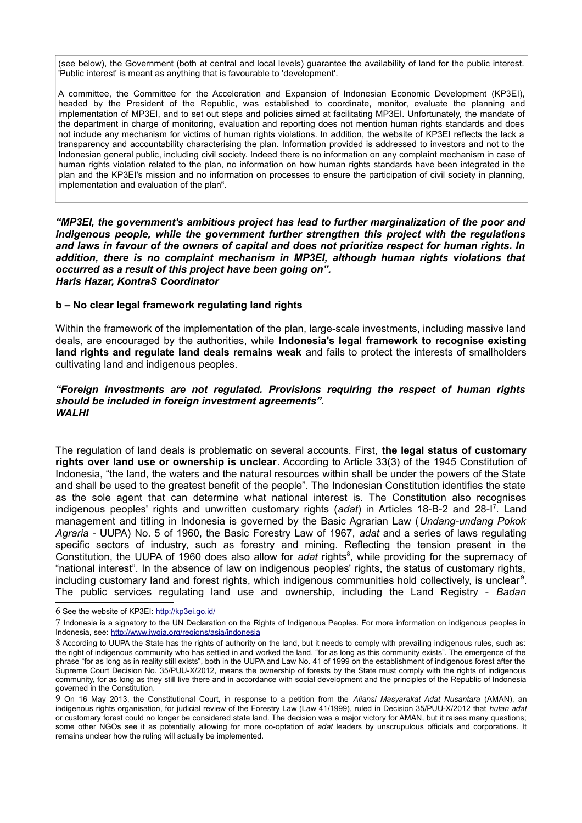(see below), the Government (both at central and local levels) guarantee the availability of land for the public interest. 'Public interest' is meant as anything that is favourable to 'development'.

A committee, the Committee for the Acceleration and Expansion of Indonesian Economic Development (KP3EI), headed by the President of the Republic, was established to coordinate, monitor, evaluate the planning and implementation of MP3EI, and to set out steps and policies aimed at facilitating MP3EI. Unfortunately, the mandate of the department in charge of monitoring, evaluation and reporting does not mention human rights standards and does not include any mechanism for victims of human rights violations. In addition, the website of KP3EI reflects the lack a transparency and accountability characterising the plan. Information provided is addressed to investors and not to the Indonesian general public, including civil society. Indeed there is no information on any complaint mechanism in case of human rights violation related to the plan, no information on how human rights standards have been integrated in the plan and the KP3EI's mission and no information on processes to ensure the participation of civil society in planning, implementation and evaluation of the plan $6$ .

*"MP3EI, the government's ambitious project has lead to further marginalization of the poor and indigenous people, while the government further strengthen this project with the regulations and laws in favour of the owners of capital and does not prioritize respect for human rights. In addition, there is no complaint mechanism in MP3EI, although human rights violations that occurred as a result of this project have been going on". Haris Hazar, KontraS Coordinator*

#### **b – No clear legal framework regulating land rights**

Within the framework of the implementation of the plan, large-scale investments, including massive land deals, are encouraged by the authorities, while **Indonesia's legal framework to recognise existing land rights and regulate land deals remains weak** and fails to protect the interests of smallholders cultivating land and indigenous peoples.

#### *"Foreign investments are not regulated. Provisions requiring the respect of human rights should be included in foreign investment agreements". WALHI*

The regulation of land deals is problematic on several accounts. First, **the legal status of customary rights over land use or ownership is unclear**. According to Article 33(3) of the 1945 Constitution of Indonesia, "the land, the waters and the natural resources within shall be under the powers of the State and shall be used to the greatest benefit of the people". The Indonesian Constitution identifies the state as the sole agent that can determine what national interest is. The Constitution also recognises indigenous peoples' rights and unwritten customary rights (*adat*) in Articles 18-B-2 and 28-I[7](#page-3-1) . Land management and titling in Indonesia is governed by the Basic Agrarian Law (*Undang-undang Pokok Agraria* - UUPA) No. 5 of 1960, the Basic Forestry Law of 1967, *adat* and a series of laws regulating specific sectors of industry, such as forestry and mining. Reflecting the tension present in the Constitution, the UUPA of 1960 does also allow for adat rights<sup>[8](#page-3-2)</sup>, while providing for the supremacy of "national interest". In the absence of law on indigenous peoples' rights, the status of customary rights, including customary land and forest rights, which indigenous communities hold collectively, is unclear<sup>[9](#page-3-3)</sup>. The public services regulating land use and ownership, including the Land Registry - *Badan*

<span id="page-3-0"></span><sup>6</sup> See the website of KP3EI:<http://kp3ei.go.id/>

<span id="page-3-1"></span><sup>7</sup> Indonesia is a signatory to the UN Declaration on the Rights of Indigenous Peoples. For more information on indigenous peoples in Indonesia, see:<http://www.iwgia.org/regions/asia/indonesia>

<span id="page-3-2"></span><sup>8</sup> According to UUPA the State has the rights of authority on the land, but it needs to comply with prevailing indigenous rules, such as: the right of indigenous community who has settled in and worked the land, "for as long as this community exists". The emergence of the phrase "for as long as in reality still exists", both in the UUPA and Law No. 41 of 1999 on the establishment of indigenous forest after the Supreme Court Decision No. 35/PUU-X/2012, means the ownership of forests by the State must comply with the rights of indigenous community, for as long as they still live there and in accordance with social development and the principles of the Republic of Indonesia governed in the Constitution.

<span id="page-3-3"></span><sup>9</sup> On 16 May 2013, the Constitutional Court, in response to a petition from the *Aliansi Masyarakat Adat Nusantara* (AMAN), an indigenous rights organisation, for judicial review of the Forestry Law (Law 41/1999), ruled in Decision 35/PUU-X/2012 that *hutan adat* or customary forest could no longer be considered state land. The decision was a major victory for AMAN, but it raises many questions; some other NGOs see it as potentially allowing for more co-optation of *adat* leaders by unscrupulous officials and corporations. It remains unclear how the ruling will actually be implemented.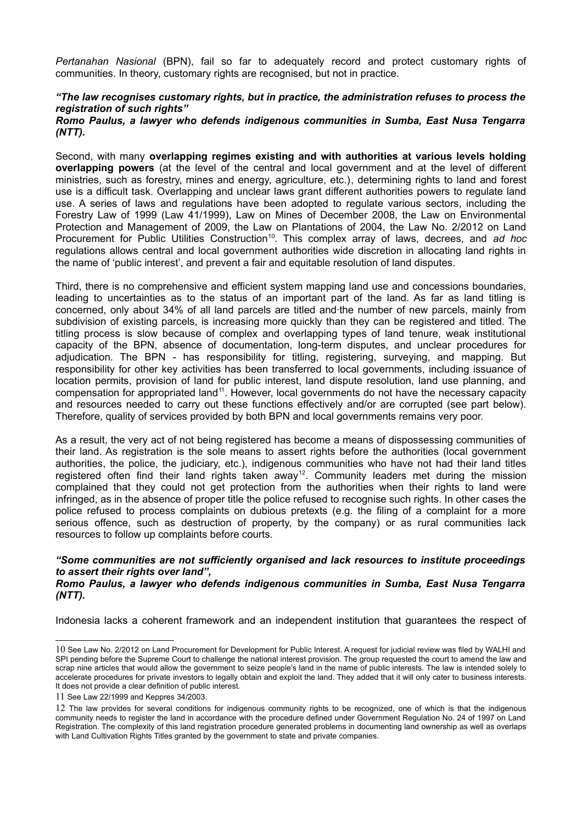*Pertanahan Nasional* (BPN), fail so far to adequately record and protect customary rights of communities. In theory, customary rights are recognised, but not in practice.

# *"The law recognises customary rights, but in practice, the administration refuses to process the registration of such rights"*

#### *Romo Paulus, a lawyer who defends indigenous communities in Sumba, East Nusa Tengarra (NTT).*

Second, with many **overlapping regimes existing and with authorities at various levels holding overlapping powers** (at the level of the central and local government and at the level of different ministries, such as forestry, mines and energy, agriculture, etc.), determining rights to land and forest use is a difficult task. Overlapping and unclear laws grant different authorities powers to regulate land use. A series of laws and regulations have been adopted to regulate various sectors, including the Forestry Law of 1999 (Law 41/1999), Law on Mines of December 2008, the Law on Environmental Protection and Management of 2009, the Law on Plantations of 2004, the Law No. 2/2012 on Land Procurement for Public Utilities Construction<sup>[10](#page-4-0)</sup>. This complex array of laws, decrees, and *ad hoc* regulations allows central and local government authorities wide discretion in allocating land rights in the name of 'public interest', and prevent a fair and equitable resolution of land disputes.

Third, there is no comprehensive and efficient system mapping land use and concessions boundaries, leading to uncertainties as to the status of an important part of the land. As far as land titling is concerned, only about 34% of all land parcels are titled and·the number of new parcels, mainly from subdivision of existing parcels, is increasing more quickly than they can be registered and titled. The titling process is slow because of complex and overlapping types of land tenure, weak institutional capacity of the BPN, absence of documentation, long-term disputes, and unclear procedures for adjudication. The BPN - has responsibility for titling, registering, surveying, and mapping. But responsibility for other key activities has been transferred to local governments, including issuance of location permits, provision of land for public interest, land dispute resolution, land use planning, and compensation for appropriated land<sup>[11](#page-4-1)</sup>. However, local governments do not have the necessary capacity and resources needed to carry out these functions effectively and/or are corrupted (see part below). Therefore, quality of services provided by both BPN and local governments remains very poor.

As a result, the very act of not being registered has become a means of dispossessing communities of their land. As registration is the sole means to assert rights before the authorities (local government authorities, the police, the judiciary, etc.), indigenous communities who have not had their land titles registered often find their land rights taken away<sup>[12](#page-4-2)</sup>. Community leaders met during the mission complained that they could not get protection from the authorities when their rights to land were infringed, as in the absence of proper title the police refused to recognise such rights. In other cases the police refused to process complaints on dubious pretexts (e.g. the filing of a complaint for a more serious offence, such as destruction of property, by the company) or as rural communities lack resources to follow up complaints before courts.

# *"Some communities are not sufficiently organised and lack resources to institute proceedings to assert their rights over land",*

#### *Romo Paulus, a lawyer who defends indigenous communities in Sumba, East Nusa Tengarra (NTT).*

Indonesia lacks a coherent framework and an independent institution that guarantees the respect of

<span id="page-4-0"></span><sup>10</sup> See Law No. 2/2012 on Land Procurement for Development for Public Interest. A request for judicial review was filed by WALHI and SPI pending before the Supreme Court to challenge the national interest provision. The group requested the court to amend the law and scrap nine articles that would allow the government to seize people's land in the name of public interests. The law is intended solely to accelerate procedures for private investors to legally obtain and exploit the land. They added that it will only cater to business interests. It does not provide a clear definition of public interest.

<span id="page-4-1"></span><sup>11</sup> See Law 22/1999 and Keppres 34/2003.

<span id="page-4-2"></span><sup>12</sup> The law provides for several conditions for indigenous community rights to be recognized, one of which is that the indigenous community needs to register the land in accordance with the procedure defined under Government Regulation No. 24 of 1997 on Land Registration. The complexity of this land registration procedure generated problems in documenting land ownership as well as overlaps with Land Cultivation Rights Titles granted by the government to state and private companies.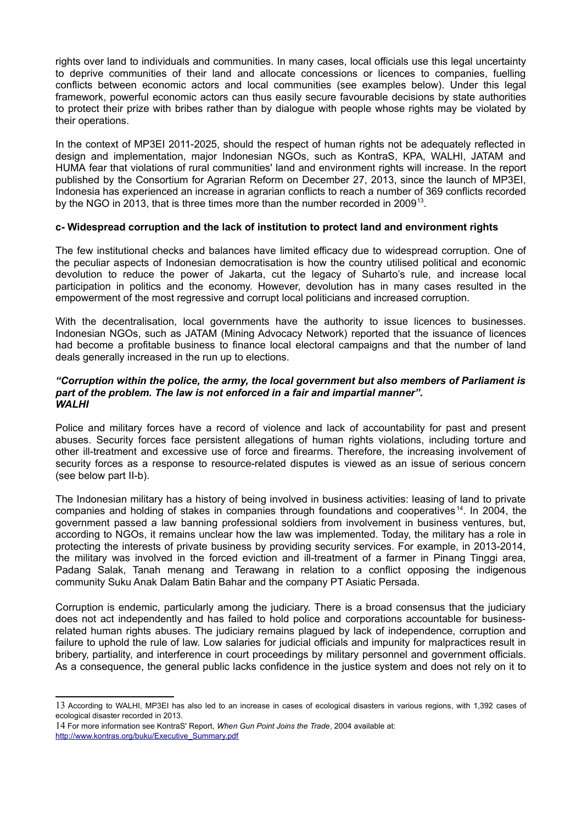rights over land to individuals and communities. In many cases, local officials use this legal uncertainty to deprive communities of their land and allocate concessions or licences to companies, fuelling conflicts between economic actors and local communities (see examples below). Under this legal framework, powerful economic actors can thus easily secure favourable decisions by state authorities to protect their prize with bribes rather than by dialogue with people whose rights may be violated by their operations.

In the context of MP3EI 2011-2025, should the respect of human rights not be adequately reflected in design and implementation, major Indonesian NGOs, such as KontraS, KPA, WALHI, JATAM and HUMA fear that violations of rural communities' land and environment rights will increase. In the report published by the Consortium for Agrarian Reform on December 27, 2013, since the launch of MP3EI, Indonesia has experienced an increase in agrarian conflicts to reach a number of 369 conflicts recorded by the NGO in 20[13](#page-5-0), that is three times more than the number recorded in 2009<sup>13</sup>.

# **c- Widespread corruption and the lack of institution to protect land and environment rights**

The few institutional checks and balances have limited efficacy due to widespread corruption. One of the peculiar aspects of Indonesian democratisation is how the country utilised political and economic devolution to reduce the power of Jakarta, cut the legacy of Suharto's rule, and increase local participation in politics and the economy. However, devolution has in many cases resulted in the empowerment of the most regressive and corrupt local politicians and increased corruption.

With the decentralisation, local governments have the authority to issue licences to businesses. Indonesian NGOs, such as JATAM (Mining Advocacy Network) reported that the issuance of licences had become a profitable business to finance local electoral campaigns and that the number of land deals generally increased in the run up to elections.

#### *"Corruption within the police, the army, the local government but also members of Parliament is part of the problem. The law is not enforced in a fair and impartial manner". WALHI*

Police and military forces have a record of violence and lack of accountability for past and present abuses. Security forces face persistent allegations of human rights violations, including torture and other ill-treatment and excessive use of force and firearms. Therefore, the increasing involvement of security forces as a response to resource-related disputes is viewed as an issue of serious concern (see below part II-b).

The Indonesian military has a history of being involved in business activities: leasing of land to private companies and holding of stakes in companies through foundations and cooperatives [14](#page-5-1). In 2004, the government passed a law banning professional soldiers from involvement in business ventures, but, according to NGOs, it remains unclear how the law was implemented. Today, the military has a role in protecting the interests of private business by providing security services. For example, in 2013-2014, the military was involved in the forced eviction and ill-treatment of a farmer in Pinang Tinggi area, Padang Salak, Tanah menang and Terawang in relation to a conflict opposing the indigenous community Suku Anak Dalam Batin Bahar and the company PT Asiatic Persada.

Corruption is endemic, particularly among the judiciary. There is a broad consensus that the judiciary does not act independently and has failed to hold police and corporations accountable for businessrelated human rights abuses. The judiciary remains plagued by lack of independence, corruption and failure to uphold the rule of law. Low salaries for judicial officials and impunity for malpractices result in bribery, partiality, and interference in court proceedings by military personnel and government officials. As a consequence, the general public lacks confidence in the justice system and does not rely on it to

<span id="page-5-0"></span><sup>13</sup> According to WALHI, MP3EI has also led to an increase in cases of ecological disasters in various regions, with 1,392 cases of ecological disaster recorded in 2013.

<span id="page-5-1"></span><sup>14</sup> For more information see KontraS' Report, *When Gun Point Joins the Trade*, 2004 available at: [http://www.kontras.org/buku/Executive\\_Summary.pdf](http://www.kontras.org/buku/Executive_Summary.pdf)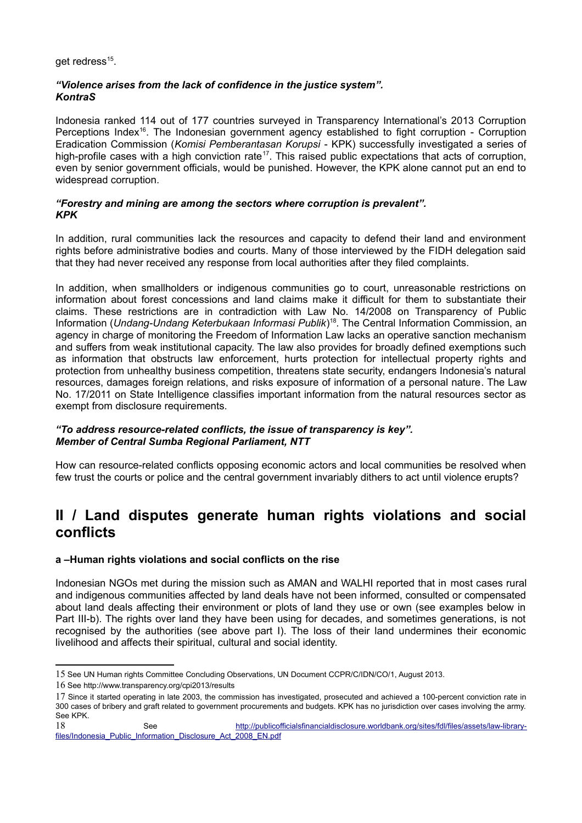get redress<sup>[15](#page-6-0)</sup>.

# *"Violence arises from the lack of confidence in the justice system". KontraS*

Indonesia ranked 114 out of 177 countries surveyed in Transparency International's 2013 Corruption Perceptions Index<sup>[16](#page-6-1)</sup>. The Indonesian government agency established to fight corruption - Corruption Eradication Commission (*Komisi Pemberantasan Korupsi* - KPK) successfully investigated a series of high-profile cases with a high conviction rate<sup>[17](#page-6-2)</sup>. This raised public expectations that acts of corruption, even by senior government officials, would be punished. However, the KPK alone cannot put an end to widespread corruption.

# *"Forestry and mining are among the sectors where corruption is prevalent". KPK*

In addition, rural communities lack the resources and capacity to defend their land and environment rights before administrative bodies and courts. Many of those interviewed by the FIDH delegation said that they had never received any response from local authorities after they filed complaints.

In addition, when smallholders or indigenous communities go to court, unreasonable restrictions on information about forest concessions and land claims make it difficult for them to substantiate their claims. These restrictions are in contradiction with Law No. 14/2008 on Transparency of Public Information (*Undang-Undang Keterbukaan Informasi Publik*) [18](#page-6-3). The Central Information Commission, an agency in charge of monitoring the Freedom of Information Law lacks an operative sanction mechanism and suffers from weak institutional capacity. The law also provides for broadly defined exemptions such as information that obstructs law enforcement, hurts protection for intellectual property rights and protection from unhealthy business competition, threatens state security, endangers Indonesia's natural resources, damages foreign relations, and risks exposure of information of a personal nature. The Law No. 17/2011 on State Intelligence classifies important information from the natural resources sector as exempt from disclosure requirements.

# *"To address resource-related conflicts, the issue of transparency is key". Member of Central Sumba Regional Parliament, NTT*

How can resource-related conflicts opposing economic actors and local communities be resolved when few trust the courts or police and the central government invariably dithers to act until violence erupts?

# **II / Land disputes generate human rights violations and social conflicts**

# **a –Human rights violations and social conflicts on the rise**

Indonesian NGOs met during the mission such as AMAN and WALHI reported that in most cases rural and indigenous communities affected by land deals have not been informed, consulted or compensated about land deals affecting their environment or plots of land they use or own (see examples below in Part III-b). The rights over land they have been using for decades, and sometimes generations, is not recognised by the authorities (see above part I). The loss of their land undermines their economic livelihood and affects their spiritual, cultural and social identity.

<span id="page-6-0"></span><sup>15</sup> See UN Human rights Committee Concluding Observations, UN Document CCPR/C/IDN/CO/1, August 2013.

<span id="page-6-1"></span><sup>16</sup> See http://www.transparency.org/cpi2013/results

<span id="page-6-2"></span><sup>17</sup> Since it started operating in late 2003, the commission has investigated, prosecuted and achieved a 100-percent conviction rate in 300 cases of bribery and graft related to government procurements and budgets. KPK has no jurisdiction over cases involving the army. See KPK.

<span id="page-6-3"></span><sup>18</sup> See [http://publicofficialsfinancialdisclosure.worldbank.org/sites/fdl/files/assets/law-library](http://publicofficialsfinancialdisclosure.worldbank.org/sites/fdl/files/assets/law-library-files/Indonesia_Public_Information_Disclosure_Act_2008_EN.pdf)[files/Indonesia\\_Public\\_Information\\_Disclosure\\_Act\\_2008\\_EN.pdf](http://publicofficialsfinancialdisclosure.worldbank.org/sites/fdl/files/assets/law-library-files/Indonesia_Public_Information_Disclosure_Act_2008_EN.pdf)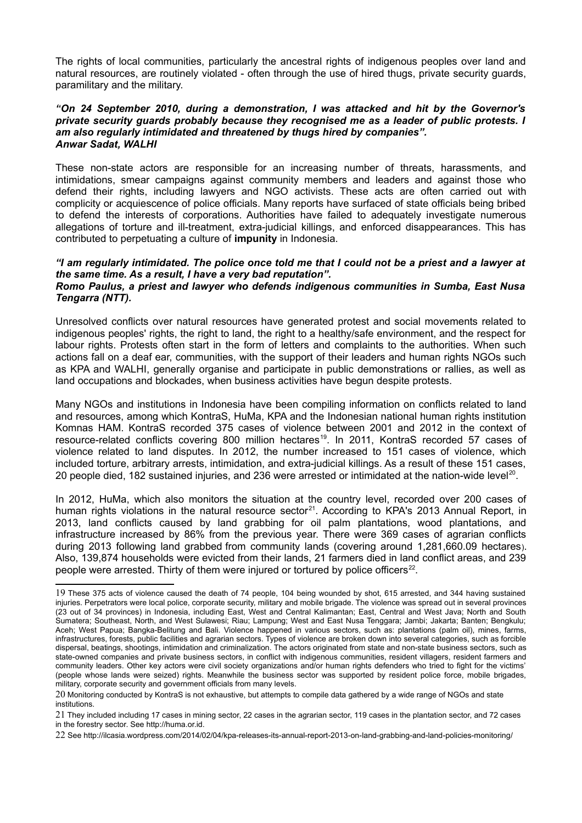The rights of local communities, particularly the ancestral rights of indigenous peoples over land and natural resources, are routinely violated - often through the use of hired thugs, private security guards, paramilitary and the military.

#### *"On 24 September 2010, during a demonstration, I was attacked and hit by the Governor's private security guards probably because they recognised me as a leader of public protests. I am also regularly intimidated and threatened by thugs hired by companies". Anwar Sadat, WALHI*

These non-state actors are responsible for an increasing number of threats, harassments, and intimidations, smear campaigns against community members and leaders and against those who defend their rights, including lawyers and NGO activists. These acts are often carried out with complicity or acquiescence of police officials. Many reports have surfaced of state officials being bribed to defend the interests of corporations. Authorities have failed to adequately investigate numerous allegations of torture and ill-treatment, extra-judicial killings, and enforced disappearances. This has contributed to perpetuating a culture of **impunity** in Indonesia.

#### *"I am regularly intimidated. The police once told me that I could not be a priest and a lawyer at the same time. As a result, I have a very bad reputation". Romo Paulus, a priest and lawyer who defends indigenous communities in Sumba, East Nusa Tengarra (NTT).*

Unresolved conflicts over natural resources have generated protest and social movements related to indigenous peoples' rights, the right to land, the right to a healthy/safe environment, and the respect for labour rights. Protests often start in the form of letters and complaints to the authorities. When such actions fall on a deaf ear, communities, with the support of their leaders and human rights NGOs such as KPA and WALHI, generally organise and participate in public demonstrations or rallies, as well as land occupations and blockades, when business activities have begun despite protests.

Many NGOs and institutions in Indonesia have been compiling information on conflicts related to land and resources, among which KontraS, HuMa, KPA and the Indonesian national human rights institution Komnas HAM. KontraS recorded 375 cases of violence between 2001 and 2012 in the context of resource-related conflicts covering 800 million hectares<sup>[19](#page-7-0)</sup>. In 2011, KontraS recorded 57 cases of violence related to land disputes. In 2012, the number increased to 151 cases of violence, which included torture, arbitrary arrests, intimidation, and extra-judicial killings. As a result of these 151 cases, [20](#page-7-1) people died, 182 sustained injuries, and 236 were arrested or intimidated at the nation-wide level<sup>20</sup>.

In 2012, HuMa, which also monitors the situation at the country level, recorded over 200 cases of human rights violations in the natural resource sector<sup>[21](#page-7-2)</sup>. According to KPA's 2013 Annual Report, in 2013, land conflicts caused by land grabbing for oil palm plantations, wood plantations, and infrastructure increased by 86% from the previous year. There were 369 cases of agrarian conflicts during 2013 following land grabbed from community lands (covering around 1,281,660.09 hectares). Also, 139,874 households were evicted from their lands, 21 farmers died in land conflict areas, and 239 people were arrested. Thirty of them were injured or tortured by police officers<sup>[22](#page-7-3)</sup>.

<span id="page-7-0"></span><sup>19</sup> These 375 acts of violence caused the death of 74 people, 104 being wounded by shot, 615 arrested, and 344 having sustained injuries. Perpetrators were local police, corporate security, military and mobile brigade. The violence was spread out in several provinces (23 out of 34 provinces) in Indonesia, including East, West and Central Kalimantan; East, Central and West Java; North and South Sumatera; Southeast, North, and West Sulawesi; Riau; Lampung; West and East Nusa Tenggara; Jambi; Jakarta; Banten; Bengkulu; Aceh; West Papua; Bangka-Belitung and Bali. Violence happened in various sectors, such as: plantations (palm oil), mines, farms, infrastructures, forests, public facilities and agrarian sectors. Types of violence are broken down into several categories, such as forcible dispersal, beatings, shootings, intimidation and criminalization. The actors originated from state and non-state business sectors, such as state-owned companies and private business sectors, in conflict with indigenous communities, resident villagers, resident farmers and community leaders. Other key actors were civil society organizations and/or human rights defenders who tried to fight for the victims' (people whose lands were seized) rights. Meanwhile the business sector was supported by resident police force, mobile brigades, military, corporate security and government officials from many levels.

<span id="page-7-1"></span><sup>20</sup> Monitoring conducted by KontraS is not exhaustive, but attempts to compile data gathered by a wide range of NGOs and state institutions.

<span id="page-7-2"></span><sup>21</sup> They included including 17 cases in mining sector, 22 cases in the agrarian sector, 119 cases in the plantation sector, and 72 cases in the forestry sector. See http://huma.or.id.

<span id="page-7-3"></span><sup>22</sup> See http://ilcasia.wordpress.com/2014/02/04/kpa-releases-its-annual-report-2013-on-land-grabbing-and-land-policies-monitoring/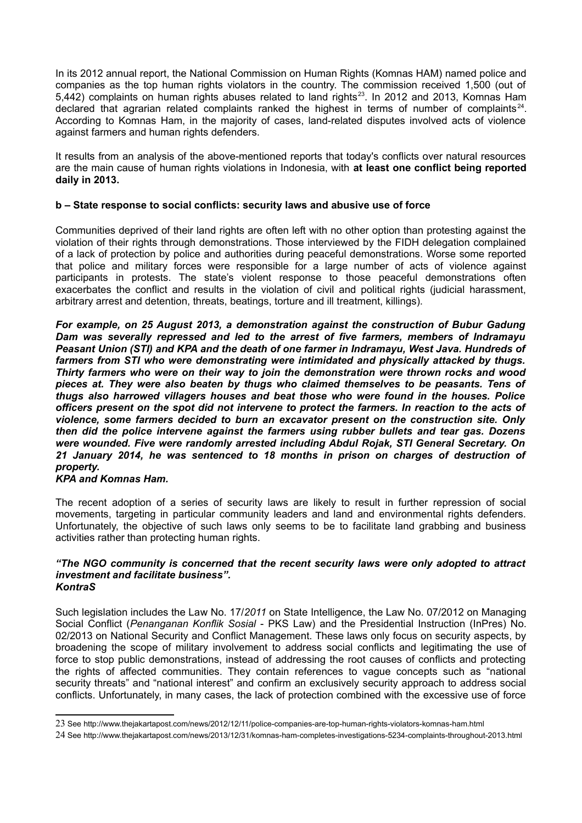In its 2012 annual report, the National Commission on Human Rights (Komnas HAM) named police and companies as the top human rights violators in the country. The commission received 1,500 (out of 5,442) complaints on human rights abuses related to land rights<sup>[23](#page-8-0)</sup>. In 2012 and 2013, Komnas Ham declared that agrarian related complaints ranked the highest in terms of number of complaints<sup>[24](#page-8-1)</sup>. According to Komnas Ham, in the majority of cases, land-related disputes involved acts of violence against farmers and human rights defenders.

It results from an analysis of the above-mentioned reports that today's conflicts over natural resources are the main cause of human rights violations in Indonesia, with **at least one conflict being reported daily in 2013.** 

# **b – State response to social conflicts: security laws and abusive use of force**

Communities deprived of their land rights are often left with no other option than protesting against the violation of their rights through demonstrations. Those interviewed by the FIDH delegation complained of a lack of protection by police and authorities during peaceful demonstrations. Worse some reported that police and military forces were responsible for a large number of acts of violence against participants in protests. The state's violent response to those peaceful demonstrations often exacerbates the conflict and results in the violation of civil and political rights (judicial harassment, arbitrary arrest and detention, threats, beatings, torture and ill treatment, killings).

*For example, on 25 August 2013, a demonstration against the construction of Bubur Gadung Dam was severally repressed and led to the arrest of five farmers, members of Indramayu Peasant Union (STI) and KPA and the death of one farmer in Indramayu, West Java. Hundreds of farmers from STI who were demonstrating were intimidated and physically attacked by thugs. Thirty farmers who were on their way to join the demonstration were thrown rocks and wood pieces at. They were also beaten by thugs who claimed themselves to be peasants. Tens of thugs also harrowed villagers houses and beat those who were found in the houses. Police officers present on the spot did not intervene to protect the farmers. In reaction to the acts of violence, some farmers decided to burn an excavator present on the construction site. Only then did the police intervene against the farmers using rubber bullets and tear gas. Dozens were wounded. Five were randomly arrested including Abdul Rojak, STI General Secretary. On 21 January 2014, he was sentenced to 18 months in prison on charges of destruction of property.* 

# *KPA and Komnas Ham.*

The recent adoption of a series of security laws are likely to result in further repression of social movements, targeting in particular community leaders and land and environmental rights defenders. Unfortunately, the objective of such laws only seems to be to facilitate land grabbing and business activities rather than protecting human rights.

#### *"The NGO community is concerned that the recent security laws were only adopted to attract investment and facilitate business". KontraS*

Such legislation includes the Law No. 17/*2011* on State Intelligence, the Law No. 07/2012 on Managing Social Conflict (*Penanganan Konflik Sosial* - PKS Law) and the Presidential Instruction (InPres) No. 02/2013 on National Security and Conflict Management. These laws only focus on security aspects, by broadening the scope of military involvement to address social conflicts and legitimating the use of force to stop public demonstrations, instead of addressing the root causes of conflicts and protecting the rights of affected communities. They contain references to vague concepts such as "national security threats" and "national interest" and confirm an exclusively security approach to address social conflicts. Unfortunately, in many cases, the lack of protection combined with the excessive use of force

<span id="page-8-0"></span><sup>23</sup> See http://www.thejakartapost.com/news/2012/12/11/police-companies-are-top-human-rights-violators-komnas-ham.html

<span id="page-8-1"></span><sup>24</sup> See http://www.thejakartapost.com/news/2013/12/31/komnas-ham-completes-investigations-5234-complaints-throughout-2013.html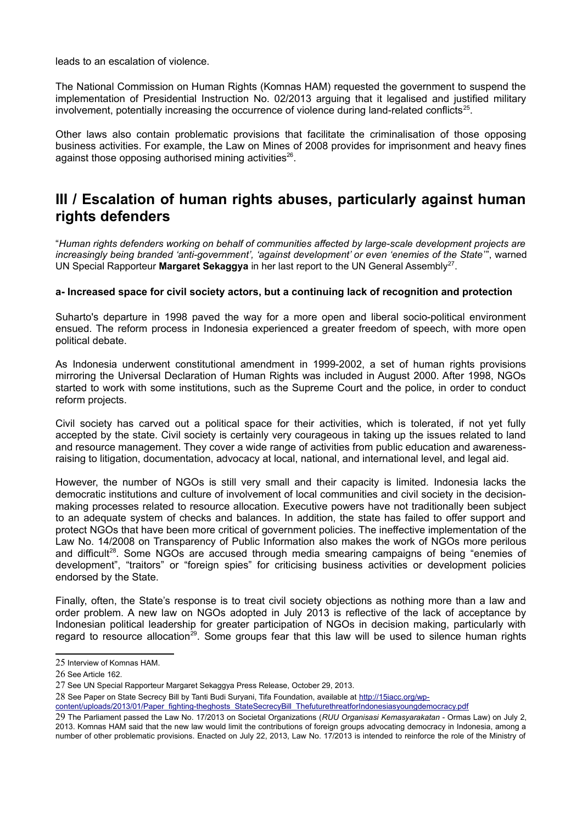leads to an escalation of violence.

The National Commission on Human Rights (Komnas HAM) requested the government to suspend the implementation of Presidential Instruction No. 02/2013 arguing that it legalised and justified military involvement, potentially increasing the occurrence of violence during land-related conflicts<sup>[25](#page-9-0)</sup>.

Other laws also contain problematic provisions that facilitate the criminalisation of those opposing business activities. For example, the Law on Mines of 2008 provides for imprisonment and heavy fines against those opposing authorised mining activities<sup>[26](#page-9-1)</sup>.

# **III / Escalation of human rights abuses, particularly against human rights defenders**

"*Human rights defenders working on behalf of communities affected by large-scale development projects are increasingly being branded 'anti-government', 'against development' or even 'enemies of the State*'", warned UN Special Rapporteur Margaret Sekaggya in her last report to the UN General Assembly<sup>[27](#page-9-2)</sup>.

# **a- Increased space for civil society actors, but a continuing lack of recognition and protection**

Suharto's departure in 1998 paved the way for a more open and liberal socio-political environment ensued. The reform process in Indonesia experienced a greater freedom of speech, with more open political debate.

As Indonesia underwent constitutional amendment in 1999-2002, a set of human rights provisions mirroring the Universal Declaration of Human Rights was included in August 2000. After 1998, NGOs started to work with some institutions, such as the Supreme Court and the police, in order to conduct reform projects.

Civil society has carved out a political space for their activities, which is tolerated, if not yet fully accepted by the state. Civil society is certainly very courageous in taking up the issues related to land and resource management. They cover a wide range of activities from public education and awarenessraising to litigation, documentation, advocacy at local, national, and international level, and legal aid.

However, the number of NGOs is still very small and their capacity is limited. Indonesia lacks the democratic institutions and culture of involvement of local communities and civil society in the decisionmaking processes related to resource allocation. Executive powers have not traditionally been subject to an adequate system of checks and balances. In addition, the state has failed to offer support and protect NGOs that have been more critical of government policies. The ineffective implementation of the Law No. 14/2008 on Transparency of Public Information also makes the work of NGOs more perilous and difficult<sup>[28](#page-9-3)</sup>. Some NGOs are accused through media smearing campaigns of being "enemies of development", "traitors" or "foreign spies" for criticising business activities or development policies endorsed by the State.

Finally, often, the State's response is to treat civil society objections as nothing more than a law and order problem. A new law on NGOs adopted in July 2013 is reflective of the lack of acceptance by Indonesian political leadership for greater participation of NGOs in decision making, particularly with regard to resource allocation<sup>[29](#page-9-4)</sup>. Some groups fear that this law will be used to silence human rights

<span id="page-9-3"></span>28 See Paper on State Secrecy Bill by Tanti Budi Suryani, Tifa Foundation, available at [http://15iacc.org/wp-](http://15iacc.org/wp-content/uploads/2013/01/Paper_fighting-theghosts_StateSecrecyBill_ThefuturethreatforIndonesiasyoungdemocracy.pdf)

[content/uploads/2013/01/Paper\\_fighting-theghosts\\_StateSecrecyBill\\_ThefuturethreatforIndonesiasyoungdemocracy.pdf](http://15iacc.org/wp-content/uploads/2013/01/Paper_fighting-theghosts_StateSecrecyBill_ThefuturethreatforIndonesiasyoungdemocracy.pdf)

<span id="page-9-0"></span><sup>25</sup> Interview of Komnas HAM.

<span id="page-9-1"></span><sup>26</sup> See Article 162.

<span id="page-9-2"></span><sup>27</sup> See UN Special Rapporteur Margaret Sekaggya Press Release, October 29, 2013.

<span id="page-9-4"></span><sup>29</sup> The Parliament passed the Law No. 17/2013 on Societal Organizations (*RUU Organisasi Kemasyarakatan* - Ormas Law) on July 2, 2013. Komnas HAM said that the new law would limit the contributions of foreign groups advocating democracy in Indonesia, among a number of other problematic provisions. Enacted on July 22, 2013, Law No. 17/2013 is intended to reinforce the role of the Ministry of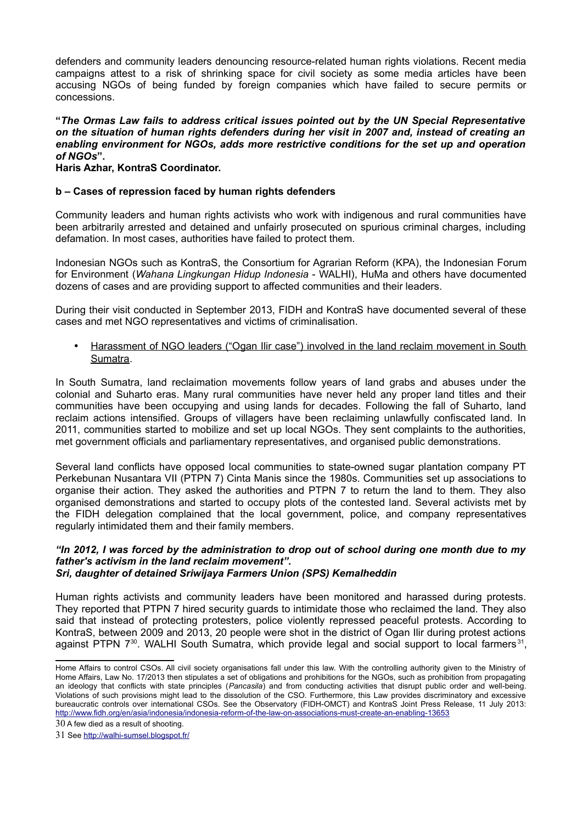defenders and community leaders denouncing resource-related human rights violations. Recent media campaigns attest to a risk of shrinking space for civil society as some media articles have been accusing NGOs of being funded by foreign companies which have failed to secure permits or concessions.

**"***The Ormas Law fails to address critical issues pointed out by the UN Special Representative on the situation of human rights defenders during her visit in 2007 and, instead of creating an enabling environment for NGOs, adds more restrictive conditions for the set up and operation of NGOs***".**

**Haris Azhar, KontraS Coordinator.**

# **b – Cases of repression faced by human rights defenders**

Community leaders and human rights activists who work with indigenous and rural communities have been arbitrarily arrested and detained and unfairly prosecuted on spurious criminal charges, including defamation. In most cases, authorities have failed to protect them.

Indonesian NGOs such as KontraS, the Consortium for Agrarian Reform (KPA), the Indonesian Forum for Environment (*Wahana Lingkungan Hidup Indonesia* - WALHI), HuMa and others have documented dozens of cases and are providing support to affected communities and their leaders.

During their visit conducted in September 2013, FIDH and KontraS have documented several of these cases and met NGO representatives and victims of criminalisation.

• Harassment of NGO leaders ("Ogan Ilir case") involved in the land reclaim movement in South Sumatra.

In South Sumatra, land reclaimation movements follow years of land grabs and abuses under the colonial and Suharto eras. Many rural communities have never held any proper land titles and their communities have been occupying and using lands for decades. Following the fall of Suharto, land reclaim actions intensified. Groups of villagers have been reclaiming unlawfully confiscated land. In 2011, communities started to mobilize and set up local NGOs. They sent complaints to the authorities, met government officials and parliamentary representatives, and organised public demonstrations.

Several land conflicts have opposed local communities to state-owned sugar plantation company PT Perkebunan Nusantara VII (PTPN 7) Cinta Manis since the 1980s. Communities set up associations to organise their action. They asked the authorities and PTPN 7 to return the land to them. They also organised demonstrations and started to occupy plots of the contested land. Several activists met by the FIDH delegation complained that the local government, police, and company representatives regularly intimidated them and their family members.

#### *"In 2012, I was forced by the administration to drop out of school during one month due to my father's activism in the land reclaim movement". Sri, daughter of detained Sriwijaya Farmers Union (SPS) Kemalheddin*

Human rights activists and community leaders have been monitored and harassed during protests. They reported that PTPN 7 hired security guards to intimidate those who reclaimed the land. They also said that instead of protecting protesters, police violently repressed peaceful protests. According to KontraS, between 2009 and 2013, 20 people were shot in the district of Ogan Ilir during protest actions against PTPN  $7^{30}$  $7^{30}$  $7^{30}$ . WALHI South Sumatra, which provide legal and social support to local farmers<sup>[31](#page-10-1)</sup>,

Home Affairs to control CSOs. All civil society organisations fall under this law. With the controlling authority given to the Ministry of Home Affairs, Law No. 17/2013 then stipulates a set of obligations and prohibitions for the NGOs, such as prohibition from propagating an ideology that conflicts with state principles (*Pancasila*) and from conducting activities that disrupt public order and well-being. Violations of such provisions might lead to the dissolution of the CSO. Furthermore, this Law provides discriminatory and excessive bureaucratic controls over international CSOs. See the Observatory (FIDH-OMCT) and KontraS Joint Press Release, 11 July 2013: <http://www.fidh.org/en/asia/indonesia/indonesia-reform-of-the-law-on-associations-must-create-an-enabling-13653>

<span id="page-10-0"></span><sup>30</sup> A few died as a result of shooting.

<span id="page-10-1"></span><sup>31</sup> See <http://walhi-sumsel.blogspot.fr/>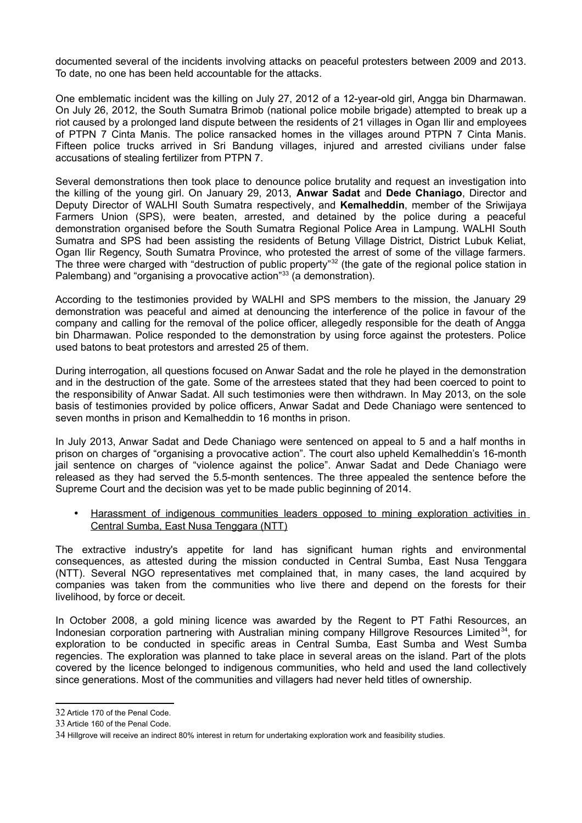documented several of the incidents involving attacks on peaceful protesters between 2009 and 2013. To date, no one has been held accountable for the attacks.

One emblematic incident was the killing on July 27, 2012 of a 12-year-old girl, Angga bin Dharmawan. On July 26, 2012, the South Sumatra Brimob (national police mobile brigade) attempted to break up a riot caused by a prolonged land dispute between the residents of 21 villages in Ogan Ilir and employees of PTPN 7 Cinta Manis. The police ransacked homes in the villages around PTPN 7 Cinta Manis. Fifteen police trucks arrived in Sri Bandung villages, injured and arrested civilians under false accusations of stealing fertilizer from PTPN 7.

Several demonstrations then took place to denounce police brutality and request an investigation into the killing of the young girl. On January 29, 2013, **Anwar Sadat** and **Dede Chaniago**, Director and Deputy Director of WALHI South Sumatra respectively, and **Kemalheddin**, member of the Sriwijaya Farmers Union (SPS), were beaten, arrested, and detained by the police during a peaceful demonstration organised before the South Sumatra Regional Police Area in Lampung. WALHI South Sumatra and SPS had been assisting the residents of Betung Village District, District Lubuk Keliat, Ogan Ilir Regency, South Sumatra Province, who protested the arrest of some of the village farmers. The three were charged with "destruction of public property"<sup>[32](#page-11-0)</sup> (the gate of the regional police station in Palembang) and "organising a provocative action"<sup>[33](#page-11-1)</sup> (a demonstration).

According to the testimonies provided by WALHI and SPS members to the mission, the January 29 demonstration was peaceful and aimed at denouncing the interference of the police in favour of the company and calling for the removal of the police officer, allegedly responsible for the death of Angga bin Dharmawan. Police responded to the demonstration by using force against the protesters. Police used batons to beat protestors and arrested 25 of them.

During interrogation, all questions focused on Anwar Sadat and the role he played in the demonstration and in the destruction of the gate. Some of the arrestees stated that they had been coerced to point to the responsibility of Anwar Sadat. All such testimonies were then withdrawn. In May 2013, on the sole basis of testimonies provided by police officers, Anwar Sadat and Dede Chaniago were sentenced to seven months in prison and Kemalheddin to 16 months in prison.

In July 2013, Anwar Sadat and Dede Chaniago were sentenced on appeal to 5 and a half months in prison on charges of "organising a provocative action". The court also upheld Kemalheddin's 16-month jail sentence on charges of "violence against the police". Anwar Sadat and Dede Chaniago were released as they had served the 5.5-month sentences. The three appealed the sentence before the Supreme Court and the decision was yet to be made public beginning of 2014.

• Harassment of indigenous communities leaders opposed to mining exploration activities in Central Sumba, East Nusa Tenggara (NTT)

The extractive industry's appetite for land has significant human rights and environmental consequences, as attested during the mission conducted in Central Sumba, East Nusa Tenggara (NTT). Several NGO representatives met complained that, in many cases, the land acquired by companies was taken from the communities who live there and depend on the forests for their livelihood, by force or deceit.

In October 2008, a gold mining licence was awarded by the Regent to PT Fathi Resources, an Indonesian corporation partnering with Australian mining company Hillgrove Resources Limited<sup>[34](#page-11-2)</sup>, for exploration to be conducted in specific areas in Central Sumba, East Sumba and West Sumba regencies. The exploration was planned to take place in several areas on the island. Part of the plots covered by the licence belonged to indigenous communities, who held and used the land collectively since generations. Most of the communities and villagers had never held titles of ownership.

<span id="page-11-0"></span><sup>32</sup> Article 170 of the Penal Code.

<span id="page-11-1"></span><sup>33</sup> Article 160 of the Penal Code.

<span id="page-11-2"></span><sup>34</sup> Hillgrove will receive an indirect 80% interest in return for undertaking exploration work and feasibility studies.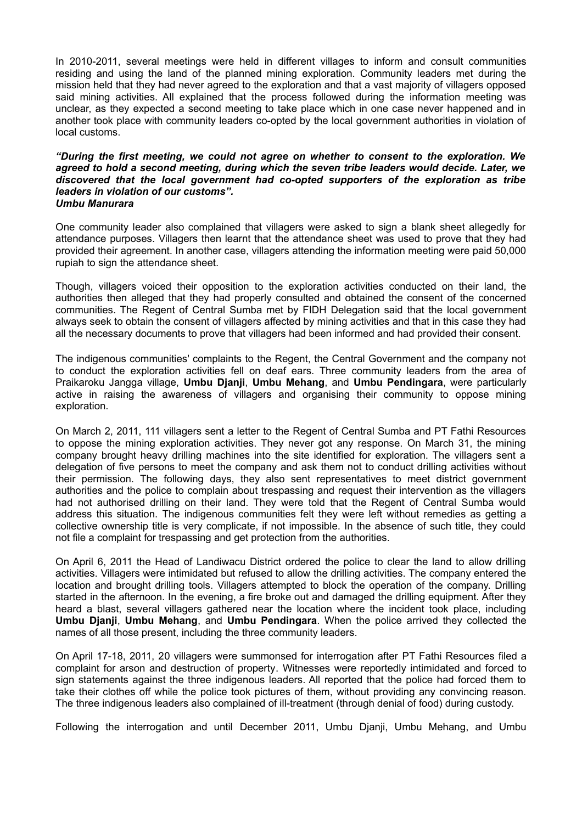In 2010-2011, several meetings were held in different villages to inform and consult communities residing and using the land of the planned mining exploration. Community leaders met during the mission held that they had never agreed to the exploration and that a vast majority of villagers opposed said mining activities. All explained that the process followed during the information meeting was unclear, as they expected a second meeting to take place which in one case never happened and in another took place with community leaders co-opted by the local government authorities in violation of local customs.

#### *"During the first meeting, we could not agree on whether to consent to the exploration. We agreed to hold a second meeting, during which the seven tribe leaders would decide. Later, we discovered that the local government had co-opted supporters of the exploration as tribe leaders in violation of our customs". Umbu Manurara*

One community leader also complained that villagers were asked to sign a blank sheet allegedly for attendance purposes. Villagers then learnt that the attendance sheet was used to prove that they had provided their agreement. In another case, villagers attending the information meeting were paid 50,000 rupiah to sign the attendance sheet.

Though, villagers voiced their opposition to the exploration activities conducted on their land, the authorities then alleged that they had properly consulted and obtained the consent of the concerned communities. The Regent of Central Sumba met by FIDH Delegation said that the local government always seek to obtain the consent of villagers affected by mining activities and that in this case they had all the necessary documents to prove that villagers had been informed and had provided their consent.

The indigenous communities' complaints to the Regent, the Central Government and the company not to conduct the exploration activities fell on deaf ears. Three community leaders from the area of Praikaroku Jangga village, **Umbu Djanji**, **Umbu Mehang**, and **Umbu Pendingara**, were particularly active in raising the awareness of villagers and organising their community to oppose mining exploration.

On March 2, 2011, 111 villagers sent a letter to the Regent of Central Sumba and PT Fathi Resources to oppose the mining exploration activities. They never got any response. On March 31, the mining company brought heavy drilling machines into the site identified for exploration. The villagers sent a delegation of five persons to meet the company and ask them not to conduct drilling activities without their permission. The following days, they also sent representatives to meet district government authorities and the police to complain about trespassing and request their intervention as the villagers had not authorised drilling on their land. They were told that the Regent of Central Sumba would address this situation. The indigenous communities felt they were left without remedies as getting a collective ownership title is very complicate, if not impossible. In the absence of such title, they could not file a complaint for trespassing and get protection from the authorities.

On April 6, 2011 the Head of Landiwacu District ordered the police to clear the land to allow drilling activities. Villagers were intimidated but refused to allow the drilling activities. The company entered the location and brought drilling tools. Villagers attempted to block the operation of the company. Drilling started in the afternoon. In the evening, a fire broke out and damaged the drilling equipment. After they heard a blast, several villagers gathered near the location where the incident took place, including **Umbu Djanji**, **Umbu Mehang**, and **Umbu Pendingara**. When the police arrived they collected the names of all those present, including the three community leaders.

On April 17-18, 2011, 20 villagers were summonsed for interrogation after PT Fathi Resources filed a complaint for arson and destruction of property. Witnesses were reportedly intimidated and forced to sign statements against the three indigenous leaders. All reported that the police had forced them to take their clothes off while the police took pictures of them, without providing any convincing reason. The three indigenous leaders also complained of ill-treatment (through denial of food) during custody.

Following the interrogation and until December 2011, Umbu Djanji, Umbu Mehang, and Umbu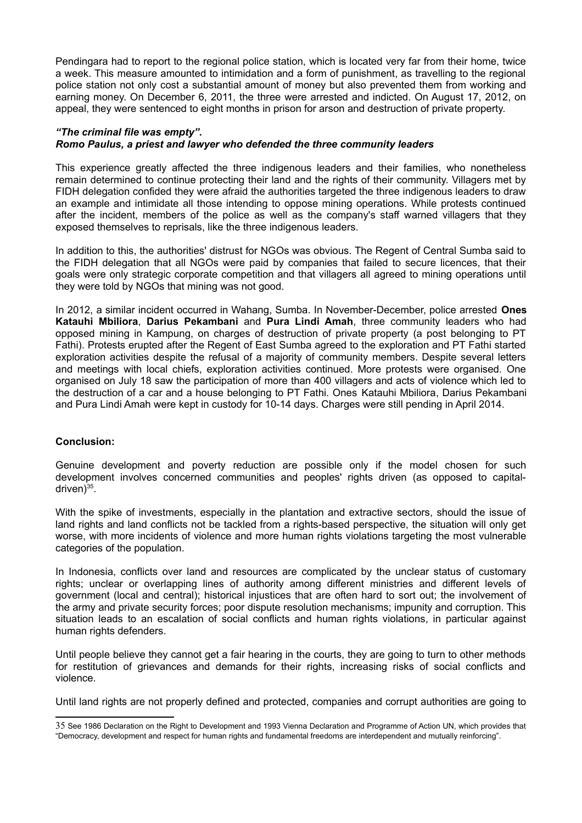Pendingara had to report to the regional police station, which is located very far from their home, twice a week. This measure amounted to intimidation and a form of punishment, as travelling to the regional police station not only cost a substantial amount of money but also prevented them from working and earning money. On December 6, 2011, the three were arrested and indicted. On August 17, 2012, on appeal, they were sentenced to eight months in prison for arson and destruction of private property.

# *"The criminal file was empty".*

# *Romo Paulus, a priest and lawyer who defended the three community leaders*

This experience greatly affected the three indigenous leaders and their families, who nonetheless remain determined to continue protecting their land and the rights of their community. Villagers met by FIDH delegation confided they were afraid the authorities targeted the three indigenous leaders to draw an example and intimidate all those intending to oppose mining operations. While protests continued after the incident, members of the police as well as the company's staff warned villagers that they exposed themselves to reprisals, like the three indigenous leaders.

In addition to this, the authorities' distrust for NGOs was obvious. The Regent of Central Sumba said to the FIDH delegation that all NGOs were paid by companies that failed to secure licences, that their goals were only strategic corporate competition and that villagers all agreed to mining operations until they were told by NGOs that mining was not good.

In 2012, a similar incident occurred in Wahang, Sumba. In November-December, police arrested **Ones Katauhi Mbiliora**, **Darius Pekambani** and **Pura Lindi Amah**, three community leaders who had opposed mining in Kampung, on charges of destruction of private property (a post belonging to PT Fathi). Protests erupted after the Regent of East Sumba agreed to the exploration and PT Fathi started exploration activities despite the refusal of a majority of community members. Despite several letters and meetings with local chiefs, exploration activities continued. More protests were organised. One organised on July 18 saw the participation of more than 400 villagers and acts of violence which led to the destruction of a car and a house belonging to PT Fathi. Ones Katauhi Mbiliora, Darius Pekambani and Pura Lindi Amah were kept in custody for 10-14 days. Charges were still pending in April 2014.

# **Conclusion:**

Genuine development and poverty reduction are possible only if the model chosen for such development involves concerned communities and peoples' rights driven (as opposed to capital-driven)<sup>[35](#page-13-0)</sup>.

With the spike of investments, especially in the plantation and extractive sectors, should the issue of land rights and land conflicts not be tackled from a rights-based perspective, the situation will only get worse, with more incidents of violence and more human rights violations targeting the most vulnerable categories of the population.

In Indonesia, conflicts over land and resources are complicated by the unclear status of customary rights; unclear or overlapping lines of authority among different ministries and different levels of government (local and central); historical injustices that are often hard to sort out; the involvement of the army and private security forces; poor dispute resolution mechanisms; impunity and corruption. This situation leads to an escalation of social conflicts and human rights violations, in particular against human rights defenders.

Until people believe they cannot get a fair hearing in the courts, they are going to turn to other methods for restitution of grievances and demands for their rights, increasing risks of social conflicts and violence.

Until land rights are not properly defined and protected, companies and corrupt authorities are going to

<span id="page-13-0"></span><sup>35</sup> See 1986 Declaration on the Right to Development and 1993 Vienna Declaration and Programme of Action UN, which provides that "Democracy, development and respect for human rights and fundamental freedoms are interdependent and mutually reinforcing".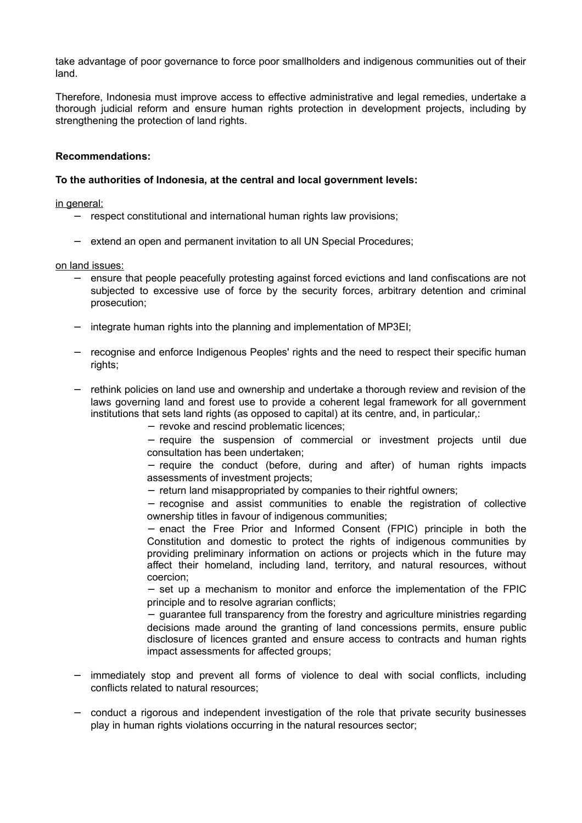take advantage of poor governance to force poor smallholders and indigenous communities out of their land.

Therefore, Indonesia must improve access to effective administrative and legal remedies, undertake a thorough judicial reform and ensure human rights protection in development projects, including by strengthening the protection of land rights.

# **Recommendations:**

# **To the authorities of Indonesia, at the central and local government levels:**

in general:

- − respect constitutional and international human rights law provisions;
- − extend an open and permanent invitation to all UN Special Procedures;

on land issues:

- − ensure that people peacefully protesting against forced evictions and land confiscations are not subjected to excessive use of force by the security forces, arbitrary detention and criminal prosecution;
- integrate human rights into the planning and implementation of MP3EI;
- recognise and enforce Indigenous Peoples' rights and the need to respect their specific human rights;
- − rethink policies on land use and ownership and undertake a thorough review and revision of the laws governing land and forest use to provide a coherent legal framework for all government institutions that sets land rights (as opposed to capital) at its centre, and, in particular,:

− revoke and rescind problematic licences;

− require the suspension of commercial or investment projects until due consultation has been undertaken;

− require the conduct (before, during and after) of human rights impacts assessments of investment projects;

− return land misappropriated by companies to their rightful owners;

− recognise and assist communities to enable the registration of collective ownership titles in favour of indigenous communities;

− enact the Free Prior and Informed Consent (FPIC) principle in both the Constitution and domestic to protect the rights of indigenous communities by providing preliminary information on actions or projects which in the future may affect their homeland, including land, territory, and natural resources, without coercion;

− set up a mechanism to monitor and enforce the implementation of the FPIC principle and to resolve agrarian conflicts;

− guarantee full transparency from the forestry and agriculture ministries regarding decisions made around the granting of land concessions permits, ensure public disclosure of licences granted and ensure access to contracts and human rights impact assessments for affected groups;

- immediately stop and prevent all forms of violence to deal with social conflicts, including conflicts related to natural resources;
- − conduct a rigorous and independent investigation of the role that private security businesses play in human rights violations occurring in the natural resources sector;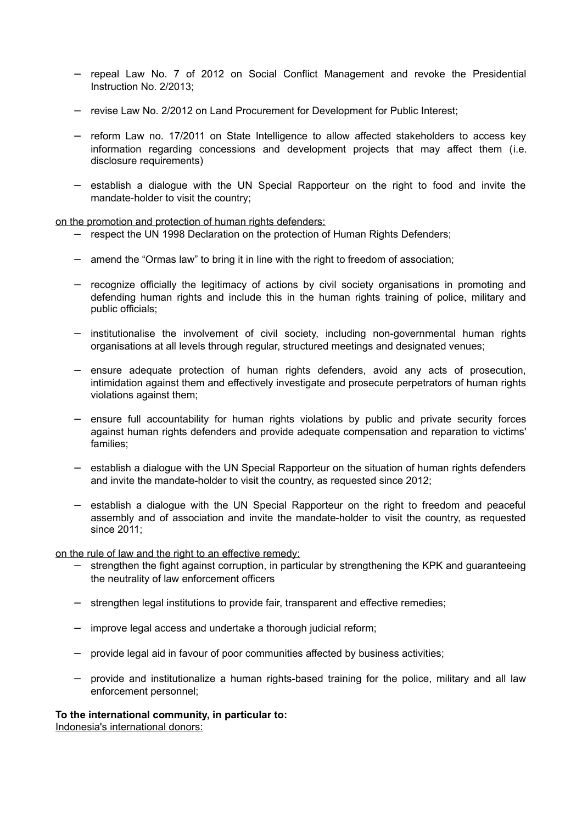- − repeal Law No. 7 of 2012 on Social Conflict Management and revoke the Presidential Instruction No. 2/2013;
- − revise Law No. 2/2012 on Land Procurement for Development for Public Interest;
- − reform Law no. 17/2011 on State Intelligence to allow affected stakeholders to access key information regarding concessions and development projects that may affect them (i.e. disclosure requirements)
- − establish a dialogue with the UN Special Rapporteur on the right to food and invite the mandate-holder to visit the country;

on the promotion and protection of human rights defenders:

- − respect the UN 1998 Declaration on the protection of Human Rights Defenders;
- − amend the "Ormas law" to bring it in line with the right to freedom of association;
- − recognize officially the legitimacy of actions by civil society organisations in promoting and defending human rights and include this in the human rights training of police, military and public officials;
- − institutionalise the involvement of civil society, including non-governmental human rights organisations at all levels through regular, structured meetings and designated venues;
- − ensure adequate protection of human rights defenders, avoid any acts of prosecution, intimidation against them and effectively investigate and prosecute perpetrators of human rights violations against them;
- − ensure full accountability for human rights violations by public and private security forces against human rights defenders and provide adequate compensation and reparation to victims' families;
- − establish a dialogue with the UN Special Rapporteur on the situation of human rights defenders and invite the mandate-holder to visit the country, as requested since 2012;
- − establish a dialogue with the UN Special Rapporteur on the right to freedom and peaceful assembly and of association and invite the mandate-holder to visit the country, as requested since 2011;

on the rule of law and the right to an effective remedy:

- − strengthen the fight against corruption, in particular by strengthening the KPK and guaranteeing the neutrality of law enforcement officers
- strengthen legal institutions to provide fair, transparent and effective remedies;
- − improve legal access and undertake a thorough judicial reform;
- − provide legal aid in favour of poor communities affected by business activities;
- − provide and institutionalize a human rights-based training for the police, military and all law enforcement personnel;

**To the international community, in particular to:** Indonesia's international donors: